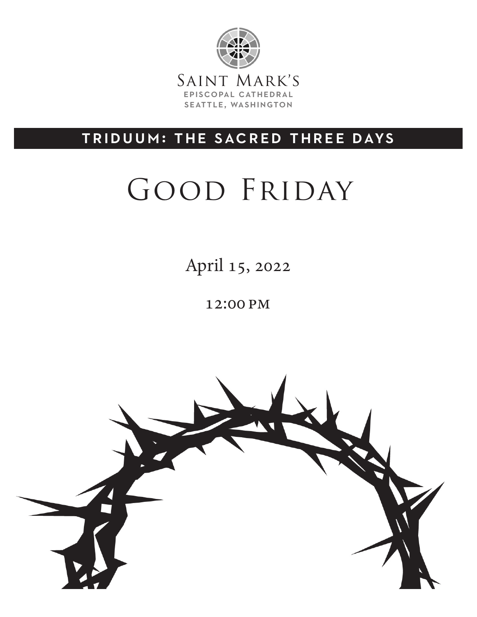

# triduum: the sacred three days

# GOOD FRIDAY

April 15, 2022

12:00 pm

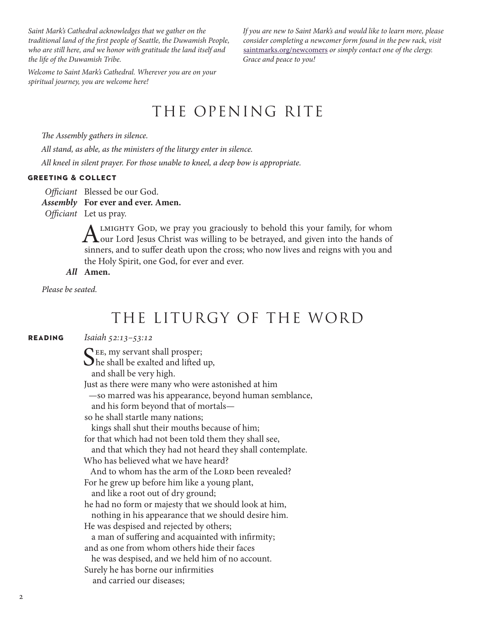*Saint Mark's Cathedral acknowledges that we gather on the traditional land of the first people of Seattle, the Duwamish People, who are still here, and we honor with gratitude the land itself and the life of the Duwamish Tribe.*

*Welcome to Saint Mark's Cathedral. Wherever you are on your spiritual journey, you are welcome here!*

*If you are new to Saint Mark's and would like to learn more, please consider completing a newcomer form found in the pew rack, visit*  saintmarks.org/newcomers *or simply contact one of the clergy. Grace and peace to you!*

# THE OPENING RITE

*The Assembly gathers in silence.*

*All stand, as able, as the ministers of the liturgy enter in silence.* 

*All kneel in silent prayer. For those unable to kneel, a deep bow is appropriate.*

#### **greeting & collect**

*Officiant* Blessed be our God. *Assembly* **For ever and ever. Amen.** *Officiant* Let us pray.

> ALMIGHTY GOD, we pray you graciously to behold this your family, for whom<br>
> our Lord Jesus Christ was willing to be betrayed, and given into the hands of sinners, and to suffer death upon the cross; who now lives and reigns with you and the Holy Spirit, one God, for ever and ever.

*All* **Amen.**

*Please be seated.*

### THE LITURGY OF THE WORD

**reading** *Isaiah 52:13–53:12* TEE, my servant shall prosper; he shall be exalted and lifted up, and shall be very high. Just as there were many who were astonished at him —so marred was his appearance, beyond human semblance, and his form beyond that of mortals so he shall startle many nations;

kings shall shut their mouths because of him;

for that which had not been told them they shall see,

and that which they had not heard they shall contemplate.

Who has believed what we have heard?

And to whom has the arm of the LORD been revealed? For he grew up before him like a young plant,

and like a root out of dry ground;

he had no form or majesty that we should look at him,

nothing in his appearance that we should desire him.

He was despised and rejected by others;

a man of suffering and acquainted with infirmity; and as one from whom others hide their faces

he was despised, and we held him of no account.

Surely he has borne our infirmities

and carried our diseases;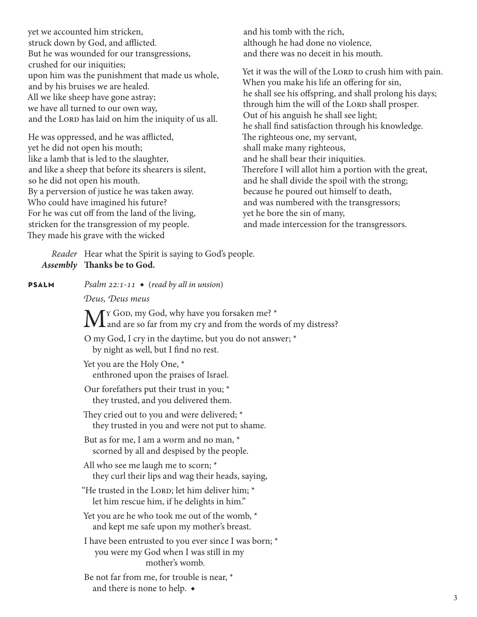yet we accounted him stricken, struck down by God, and afflicted. But he was wounded for our transgressions, crushed for our iniquities; upon him was the punishment that made us whole, and by his bruises we are healed. All we like sheep have gone astray; we have all turned to our own way, and the LORD has laid on him the iniquity of us all.

He was oppressed, and he was afflicted, yet he did not open his mouth; like a lamb that is led to the slaughter, and like a sheep that before its shearers is silent, so he did not open his mouth. By a perversion of justice he was taken away. Who could have imagined his future? For he was cut off from the land of the living, stricken for the transgression of my people. They made his grave with the wicked

and his tomb with the rich, although he had done no violence, and there was no deceit in his mouth.

Yet it was the will of the LORD to crush him with pain. When you make his life an offering for sin, he shall see his offspring, and shall prolong his days; through him the will of the Lorp shall prosper. Out of his anguish he shall see light; he shall find satisfaction through his knowledge. The righteous one, my servant, shall make many righteous, and he shall bear their iniquities. Therefore I will allot him a portion with the great, and he shall divide the spoil with the strong; because he poured out himself to death, and was numbered with the transgressors; yet he bore the sin of many, and made intercession for the transgressors.

*Reader* Hear what the Spirit is saying to God's people. *Assembly* **Thanks be to God.**

**psalm** *Psalm 22:1-11 ◆* (*read by all in unsion*)

*Deus, Deus meus*

 $\mathbf{M}^{\text{Y} \text{ GOD, \, my} \text{ God, why have you forsaken me? }$  \* and are so far from my cry and from the words of my distress?

O my God, I cry in the daytime, but you do not answer; \* by night as well, but I find no rest.

Yet you are the Holy One, \* enthroned upon the praises of Israel.

Our forefathers put their trust in you; \* they trusted, and you delivered them.

They cried out to you and were delivered; \* they trusted in you and were not put to shame.

But as for me, I am a worm and no man, \* scorned by all and despised by the people.

All who see me laugh me to scorn; \* they curl their lips and wag their heads, saying,

"He trusted in the LORD; let him deliver him;  $*$ let him rescue him, if he delights in him."

Yet you are he who took me out of the womb, \* and kept me safe upon my mother's breast.

I have been entrusted to you ever since I was born; \* you were my God when I was still in my mother's womb.

Be not far from me, for trouble is near, \* and there is none to help. ◆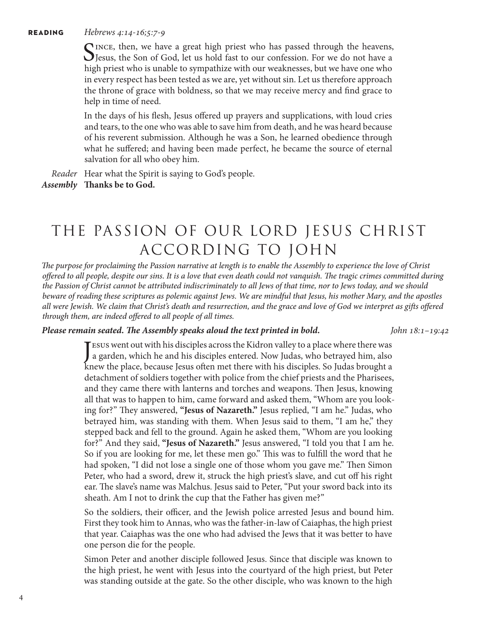#### **reading** *Hebrews 4:14-16;5:7-9*

CINCE, then, we have a great high priest who has passed through the heavens,  $\bigcup$ Jesus, the Son of God, let us hold fast to our confession. For we do not have a high priest who is unable to sympathize with our weaknesses, but we have one who in every respect has been tested as we are, yet without sin. Let us therefore approach the throne of grace with boldness, so that we may receive mercy and find grace to help in time of need.

In the days of his flesh, Jesus offered up prayers and supplications, with loud cries and tears, to the one who was able to save him from death, and he was heard because of his reverent submission. Although he was a Son, he learned obedience through what he suffered; and having been made perfect, he became the source of eternal salvation for all who obey him.

*Reader* Hear what the Spirit is saying to God's people. *Assembly* **Thanks be to God.**

# THE PASSION OF OUR LORD JESUS CHRIST ACCORDING TO JOHN

*The purpose for proclaiming the Passion narrative at length is to enable the Assembly to experience the love of Christ offered to all people, despite our sins. It is a love that even death could not vanquish. The tragic crimes committed during the Passion of Christ cannot be attributed indiscriminately to all Jews of that time, nor to Jews today, and we should beware of reading these scriptures as polemic against Jews. We are mindful that Jesus, his mother Mary, and the apostles all were Jewish. We claim that Christ's death and resurrection, and the grace and love of God we interpret as gifts offered through them, are indeed offered to all people of all times.*

#### *Please remain seated. The Assembly speaks aloud the text printed in bold. John 18:1–19:42*

Jesus went out with his disciples across the Kidron valley to a place where there was<br>a garden, which he and his disciples entered. Now Judas, who betrayed him, also **E** Esus went out with his disciples across the Kidron valley to a place where there was knew the place, because Jesus often met there with his disciples. So Judas brought a detachment of soldiers together with police from the chief priests and the Pharisees, and they came there with lanterns and torches and weapons. Then Jesus, knowing all that was to happen to him, came forward and asked them, "Whom are you looking for?" They answered, **"Jesus of Nazareth."** Jesus replied, "I am he." Judas, who betrayed him, was standing with them. When Jesus said to them, "I am he," they stepped back and fell to the ground. Again he asked them, "Whom are you looking for?" And they said, **"Jesus of Nazareth."** Jesus answered, "I told you that I am he. So if you are looking for me, let these men go." This was to fulfill the word that he had spoken, "I did not lose a single one of those whom you gave me." Then Simon Peter, who had a sword, drew it, struck the high priest's slave, and cut off his right ear. The slave's name was Malchus. Jesus said to Peter, "Put your sword back into its sheath. Am I not to drink the cup that the Father has given me?"

So the soldiers, their officer, and the Jewish police arrested Jesus and bound him. First they took him to Annas, who was the father-in-law of Caiaphas, the high priest that year. Caiaphas was the one who had advised the Jews that it was better to have one person die for the people.

Simon Peter and another disciple followed Jesus. Since that disciple was known to the high priest, he went with Jesus into the courtyard of the high priest, but Peter was standing outside at the gate. So the other disciple, who was known to the high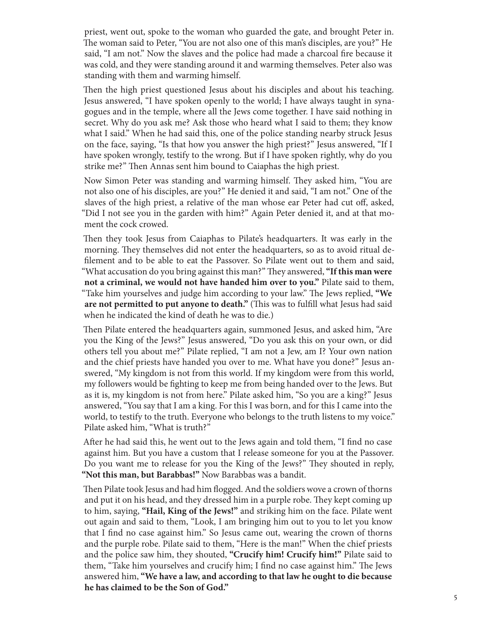priest, went out, spoke to the woman who guarded the gate, and brought Peter in. The woman said to Peter, "You are not also one of this man's disciples, are you?" He said, "I am not." Now the slaves and the police had made a charcoal fire because it was cold, and they were standing around it and warming themselves. Peter also was standing with them and warming himself.

Then the high priest questioned Jesus about his disciples and about his teaching. Jesus answered, "I have spoken openly to the world; I have always taught in synagogues and in the temple, where all the Jews come together. I have said nothing in secret. Why do you ask me? Ask those who heard what I said to them; they know what I said." When he had said this, one of the police standing nearby struck Jesus on the face, saying, "Is that how you answer the high priest?" Jesus answered, "If I have spoken wrongly, testify to the wrong. But if I have spoken rightly, why do you strike me?" Then Annas sent him bound to Caiaphas the high priest.

Now Simon Peter was standing and warming himself. They asked him, "You are not also one of his disciples, are you?" He denied it and said, "I am not." One of the slaves of the high priest, a relative of the man whose ear Peter had cut off, asked, "Did I not see you in the garden with him?" Again Peter denied it, and at that moment the cock crowed.

Then they took Jesus from Caiaphas to Pilate's headquarters. It was early in the morning. They themselves did not enter the headquarters, so as to avoid ritual defilement and to be able to eat the Passover. So Pilate went out to them and said, "What accusation do you bring against this man?" They answered, **"If this man were not a criminal, we would not have handed him over to you."** Pilate said to them, "Take him yourselves and judge him according to your law." The Jews replied, **"We are not permitted to put anyone to death."** (This was to fulfill what Jesus had said when he indicated the kind of death he was to die.)

Then Pilate entered the headquarters again, summoned Jesus, and asked him, "Are you the King of the Jews?" Jesus answered, "Do you ask this on your own, or did others tell you about me?" Pilate replied, "I am not a Jew, am I? Your own nation and the chief priests have handed you over to me. What have you done?" Jesus answered, "My kingdom is not from this world. If my kingdom were from this world, my followers would be fighting to keep me from being handed over to the Jews. But as it is, my kingdom is not from here." Pilate asked him, "So you are a king?" Jesus answered, "You say that I am a king. For this I was born, and for this I came into the world, to testify to the truth. Everyone who belongs to the truth listens to my voice." Pilate asked him, "What is truth?"

After he had said this, he went out to the Jews again and told them, "I find no case against him. But you have a custom that I release someone for you at the Passover. Do you want me to release for you the King of the Jews?" They shouted in reply, **"Not this man, but Barabbas!"** Now Barabbas was a bandit.

Then Pilate took Jesus and had him flogged. And the soldiers wove a crown of thorns and put it on his head, and they dressed him in a purple robe. They kept coming up to him, saying, **"Hail, King of the Jews!"** and striking him on the face. Pilate went out again and said to them, "Look, I am bringing him out to you to let you know that I find no case against him." So Jesus came out, wearing the crown of thorns and the purple robe. Pilate said to them, "Here is the man!" When the chief priests and the police saw him, they shouted, **"Crucify him! Crucify him!"** Pilate said to them, "Take him yourselves and crucify him; I find no case against him." The Jews answered him, **"We have a law, and according to that law he ought to die because he has claimed to be the Son of God."**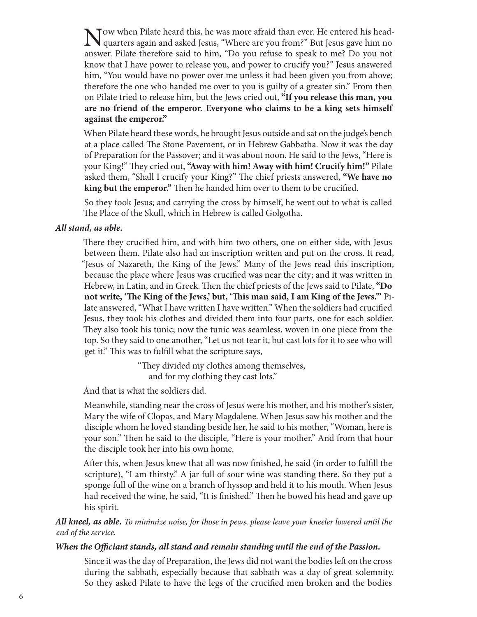Now when Pilate heard this, he was more afraid than ever. He entered his head-<br>quarters again and asked Jesus, "Where are you from?" But Jesus gave him no answer. Pilate therefore said to him, "Do you refuse to speak to me? Do you not know that I have power to release you, and power to crucify you?" Jesus answered him, "You would have no power over me unless it had been given you from above; therefore the one who handed me over to you is guilty of a greater sin." From then on Pilate tried to release him, but the Jews cried out, **"If you release this man, you are no friend of the emperor. Everyone who claims to be a king sets himself against the emperor."**

When Pilate heard these words, he brought Jesus outside and sat on the judge's bench at a place called The Stone Pavement, or in Hebrew Gabbatha. Now it was the day of Preparation for the Passover; and it was about noon. He said to the Jews, "Here is your King!" They cried out, **"Away with him! Away with him! Crucify him!"** Pilate asked them, "Shall I crucify your King?" The chief priests answered, **"We have no king but the emperor."** Then he handed him over to them to be crucified.

So they took Jesus; and carrying the cross by himself, he went out to what is called The Place of the Skull, which in Hebrew is called Golgotha.

#### *All stand, as able.*

There they crucified him, and with him two others, one on either side, with Jesus between them. Pilate also had an inscription written and put on the cross. It read, "Jesus of Nazareth, the King of the Jews." Many of the Jews read this inscription, because the place where Jesus was crucified was near the city; and it was written in Hebrew, in Latin, and in Greek. Then the chief priests of the Jews said to Pilate, **"Do not write, 'The King of the Jews,' but, 'This man said, I am King of the Jews.'"** Pilate answered, "What I have written I have written." When the soldiers had crucified Jesus, they took his clothes and divided them into four parts, one for each soldier. They also took his tunic; now the tunic was seamless, woven in one piece from the top. So they said to one another, "Let us not tear it, but cast lots for it to see who will get it." This was to fulfill what the scripture says,

> "They divided my clothes among themselves, and for my clothing they cast lots."

And that is what the soldiers did.

Meanwhile, standing near the cross of Jesus were his mother, and his mother's sister, Mary the wife of Clopas, and Mary Magdalene. When Jesus saw his mother and the disciple whom he loved standing beside her, he said to his mother, "Woman, here is your son." Then he said to the disciple, "Here is your mother." And from that hour the disciple took her into his own home.

After this, when Jesus knew that all was now finished, he said (in order to fulfill the scripture), "I am thirsty." A jar full of sour wine was standing there. So they put a sponge full of the wine on a branch of hyssop and held it to his mouth. When Jesus had received the wine, he said, "It is finished." Then he bowed his head and gave up his spirit.

*All kneel, as able. To minimize noise, for those in pews, please leave your kneeler lowered until the end of the service.*

#### *When the Officiant stands, all stand and remain standing until the end of the Passion.*

Since it was the day of Preparation, the Jews did not want the bodies left on the cross during the sabbath, especially because that sabbath was a day of great solemnity. So they asked Pilate to have the legs of the crucified men broken and the bodies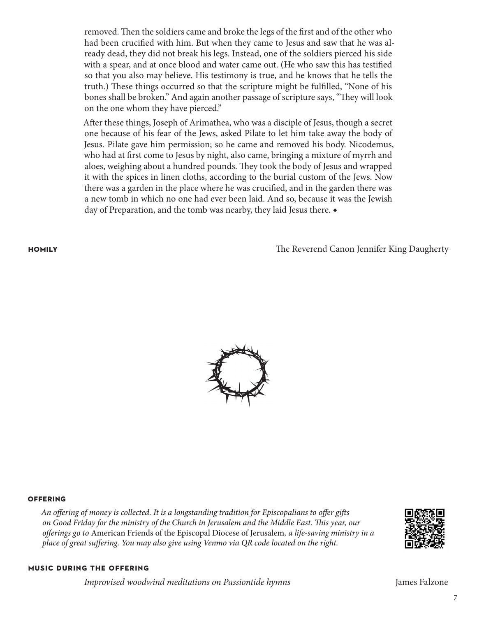removed. Then the soldiers came and broke the legs of the first and of the other who had been crucified with him. But when they came to Jesus and saw that he was already dead, they did not break his legs. Instead, one of the soldiers pierced his side with a spear, and at once blood and water came out. (He who saw this has testified so that you also may believe. His testimony is true, and he knows that he tells the truth.) These things occurred so that the scripture might be fulfilled, "None of his bones shall be broken." And again another passage of scripture says, "They will look on the one whom they have pierced."

After these things, Joseph of Arimathea, who was a disciple of Jesus, though a secret one because of his fear of the Jews, asked Pilate to let him take away the body of Jesus. Pilate gave him permission; so he came and removed his body. Nicodemus, who had at first come to Jesus by night, also came, bringing a mixture of myrrh and aloes, weighing about a hundred pounds. They took the body of Jesus and wrapped it with the spices in linen cloths, according to the burial custom of the Jews. Now there was a garden in the place where he was crucified, and in the garden there was a new tomb in which no one had ever been laid. And so, because it was the Jewish day of Preparation, and the tomb was nearby, they laid Jesus there. *◆*

**homily** The Reverend Canon Jennifer King Daugherty



#### **offering**

*An offering of money is collected. It is a longstanding tradition for Episcopalians to offer gifts on Good Friday for the ministry of the Church in Jerusalem and the Middle East. This year, our offerings go to* American Friends of the Episcopal Diocese of Jerusalem*, a life-saving ministry in a place of great suffering. You may also give using Venmo via QR code located on the right.*



#### **music during the offering**

*Improvised woodwind meditations on Passiontide hymns* James Falzone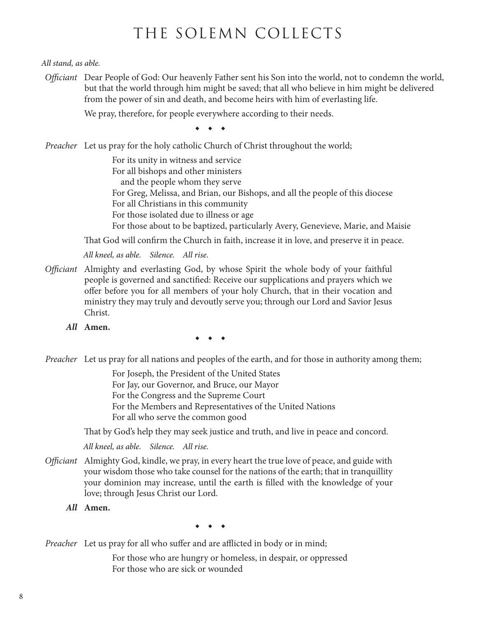# THE SOLEMN COLLECTS

#### *All stand, as able.*

*Officiant* Dear People of God: Our heavenly Father sent his Son into the world, not to condemn the world, but that the world through him might be saved; that all who believe in him might be delivered from the power of sin and death, and become heirs with him of everlasting life.

We pray, therefore, for people everywhere according to their needs.

*◆ ◆ ◆*

*Preacher* Let us pray for the holy catholic Church of Christ throughout the world;

For its unity in witness and service For all bishops and other ministers and the people whom they serve For Greg, Melissa, and Brian, our Bishops, and all the people of this diocese For all Christians in this community For those isolated due to illness or age For those about to be baptized, particularly Avery, Genevieve, Marie, and Maisie

That God will confirm the Church in faith, increase it in love, and preserve it in peace.

*All kneel, as able. Silence. All rise.*

- *Officiant* Almighty and everlasting God, by whose Spirit the whole body of your faithful people is governed and sanctified: Receive our supplications and prayers which we offer before you for all members of your holy Church, that in their vocation and ministry they may truly and devoutly serve you; through our Lord and Savior Jesus Christ.
	- *All* **Amen.**

*◆ ◆ ◆*

*Preacher* Let us pray for all nations and peoples of the earth, and for those in authority among them;

For Joseph, the President of the United States For Jay, our Governor, and Bruce, our Mayor For the Congress and the Supreme Court For the Members and Representatives of the United Nations For all who serve the common good

That by God's help they may seek justice and truth, and live in peace and concord.

*All kneel, as able. Silence. All rise.*

*Officiant* Almighty God, kindle, we pray, in every heart the true love of peace, and guide with your wisdom those who take counsel for the nations of the earth; that in tranquillity your dominion may increase, until the earth is filled with the knowledge of your love; through Jesus Christ our Lord.

*All* **Amen.**

*◆ ◆ ◆*

*Preacher* Let us pray for all who suffer and are afflicted in body or in mind;

For those who are hungry or homeless, in despair, or oppressed For those who are sick or wounded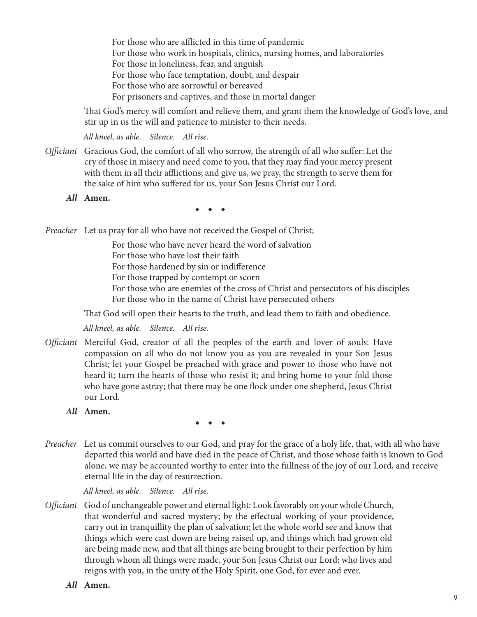For those who are afflicted in this time of pandemic For those who work in hospitals, clinics, nursing homes, and laboratories For those in loneliness, fear, and anguish For those who face temptation, doubt, and despair For those who are sorrowful or bereaved For prisoners and captives, and those in mortal danger

That God's mercy will comfort and relieve them, and grant them the knowledge of God's love, and stir up in us the will and patience to minister to their needs.

*All kneel, as able. Silence. All rise.*

- *Officiant* Gracious God, the comfort of all who sorrow, the strength of all who suffer: Let the cry of those in misery and need come to you, that they may find your mercy present with them in all their afflictions; and give us, we pray, the strength to serve them for the sake of him who suffered for us, your Son Jesus Christ our Lord.
	- *All* **Amen.**

*◆ ◆ ◆*

*Preacher* Let us pray for all who have not received the Gospel of Christ;

For those who have never heard the word of salvation For those who have lost their faith For those hardened by sin or indifference For those trapped by contempt or scorn

For those who are enemies of the cross of Christ and persecutors of his disciples For those who in the name of Christ have persecuted others

That God will open their hearts to the truth, and lead them to faith and obedience.

*All kneel, as able. Silence. All rise.*

- *Officiant* Merciful God, creator of all the peoples of the earth and lover of souls: Have compassion on all who do not know you as you are revealed in your Son Jesus Christ; let your Gospel be preached with grace and power to those who have not heard it; turn the hearts of those who resist it; and bring home to your fold those who have gone astray; that there may be one flock under one shepherd, Jesus Christ our Lord.
	- *All* **Amen.**

*◆ ◆ ◆*

*Preacher* Let us commit ourselves to our God, and pray for the grace of a holy life, that, with all who have departed this world and have died in the peace of Christ, and those whose faith is known to God alone, we may be accounted worthy to enter into the fullness of the joy of our Lord, and receive eternal life in the day of resurrection.

*All kneel, as able. Silence. All rise.*

- *Officiant* God of unchangeable power and eternal light: Look favorably on your whole Church, that wonderful and sacred mystery; by the effectual working of your providence, carry out in tranquillity the plan of salvation; let the whole world see and know that things which were cast down are being raised up, and things which had grown old are being made new, and that all things are being brought to their perfection by him through whom all things were made, your Son Jesus Christ our Lord; who lives and reigns with you, in the unity of the Holy Spirit, one God, for ever and ever.
	- *All* **Amen.**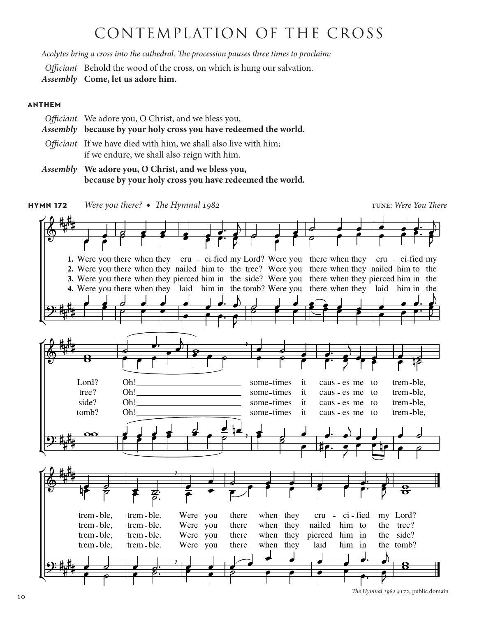# CONTEMPLATION OF THE CROSS

*Acolytes bring a cross into the cathedral. The procession pauses three times to proclaim:*

*Officiant* Behold the wood of the cross, on which is hung our salvation.

*Assembly* **Come, let us adore him.**

#### **anthem**

| <i>Officiant</i> We adore you, O Christ, and we bless you,                                                      |
|-----------------------------------------------------------------------------------------------------------------|
| Assembly because by your holy cross you have redeemed the world.                                                |
| Officiant If we have died with him, we shall also live with him;<br>if we endure, we shall also reign with him. |
| Assembly We adore you, O Christ, and we bless you,                                                              |

**because by your holy cross you have redeemed the world.**





 $\hbar$ 

ere Yo

,  $\overline{T}$ 

 $\overline{N}$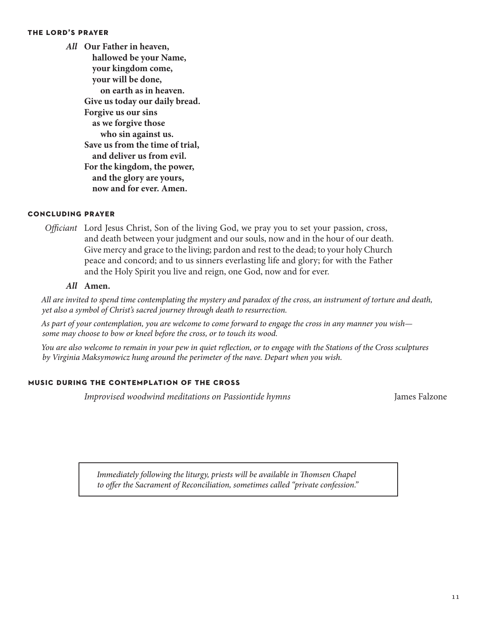#### **the lord's prayer**

*All* **Our Father in heaven, hallowed be your Name, your kingdom come, your will be done, on earth as in heaven. Give us today our daily bread. Forgive us our sins as we forgive those who sin against us. Save us from the time of trial, and deliver us from evil. For the kingdom, the power, and the glory are yours, now and for ever. Amen.**

#### **concluding prayer**

*Officiant* Lord Jesus Christ, Son of the living God, we pray you to set your passion, cross, and death between your judgment and our souls, now and in the hour of our death. Give mercy and grace to the living; pardon and rest to the dead; to your holy Church peace and concord; and to us sinners everlasting life and glory; for with the Father and the Holy Spirit you live and reign, one God, now and for ever.

#### *All* **Amen.**

*All are invited to spend time contemplating the mystery and paradox of the cross, an instrument of torture and death, yet also a symbol of Christ's sacred journey through death to resurrection.*

*As part of your contemplation, you are welcome to come forward to engage the cross in any manner you wish some may choose to bow or kneel before the cross, or to touch its wood.* 

*You are also welcome to remain in your pew in quiet reflection, or to engage with the Stations of the Cross sculptures by Virginia Maksymowicz hung around the perimeter of the nave. Depart when you wish.*

#### **music during the contemplation of the cross**

*Improvised woodwind meditations on Passiontide hymns* James Falzone

*Immediately following the liturgy, priests will be available in Thomsen Chapel to offer the Sacrament of Reconciliation, sometimes called "private confession."*